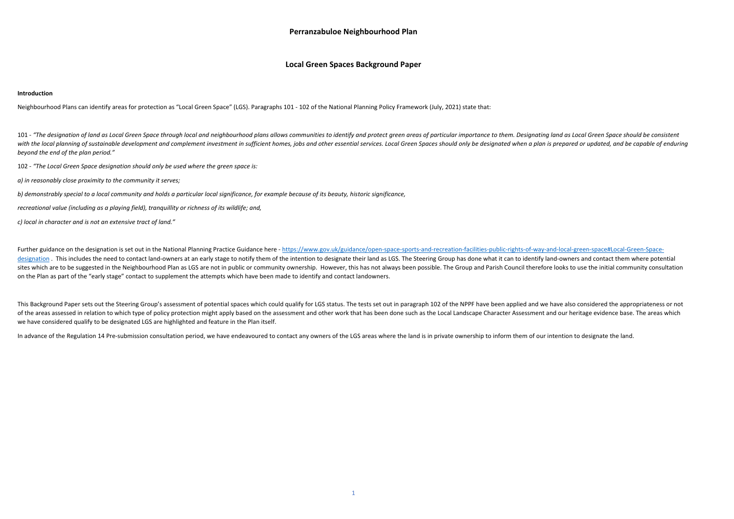## **Perranzabuloe Neighbourhood Plan**

## **Local Green Spaces Background Paper**

## **Introduction**

Neighbourhood Plans can identify areas for protection as "Local Green Space" (LGS). Paragraphs 101 ‐ 102 of the National Planning Policy Framework (July, 2021) state that:

101 - "The designation of land as Local Green Space through local and neighbourhood plans allows communities to identify and protect green areas of particular importance to them. Designating land as Local Green Space shoul with the local planning of sustainable development and complement investment in sufficient homes, jobs and other essential services. Local Green Spaces should only be designated when a plan is prepared or updated, and be c *beyond the end of the plan period."* 

102 ‐ *"The Local Green Space designation should only be used where the green space is:* 

*a) in reasonably close proximity to the community it serves;* 

*b) demonstrably special to a local community and holds a particular local significance, for example because of its beauty, historic significance,* 

Further guidance on the designation is set out in the National Planning Practice Guidance here - https://www.gov.uk/guidance/open-space-sports-and-recreation-facilities-public-rights-of-way-and-local-green-space#Local-Gree designation. This includes the need to contact land-owners at an early stage to notify them of the intention to designate their land as LGS. The Steering Group has done what it can to identify land-owners and contact them sites which are to be suggested in the Neighbourhood Plan as LGS are not in public or community ownership. However, this has not always been possible. The Group and Parish Council therefore looks to use the initial communi on the Plan as part of the "early stage" contact to supplement the attempts which have been made to identify and contact landowners.

*recreational value (including as a playing field), tranquillity or richness of its wildlife; and,* 

*c) local in character and is not an extensive tract of land."* 

This Background Paper sets out the Steering Group's assessment of potential spaces which could qualify for LGS status. The tests set out in paragraph 102 of the NPPF have been applied and we have also considered the approp of the areas assessed in relation to which type of policy protection might apply based on the assessment and other work that has been done such as the Local Landscape Character Assessment and our heritage evidence base. Th we have considered qualify to be designated LGS are highlighted and feature in the Plan itself.

In advance of the Regulation 14 Pre-submission consultation period, we have endeavoured to contact any owners of the LGS areas where the land is in private ownership to inform them of our intention to designate the land.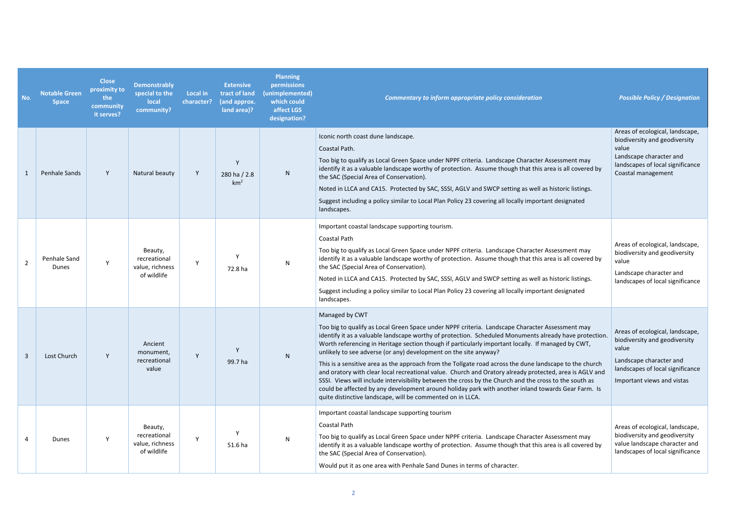| No.            | <b>Notable Green</b><br><b>Space</b> | <b>Close</b><br>proximity to<br>the<br>community<br>it serves? | <b>Demonstrably</b><br>special to the<br><b>local</b><br>community? | <b>Local in</b><br>character? | <b>Extensive</b><br>tract of land<br>(and approx.<br>land area)? | <b>Planning</b><br>permissions<br>(unimplemented)<br>which could<br>affect LGS<br>designation? | <b>Commentary to inform appropriate policy consideration</b>                                                                                                                                                                                                                                                                                                                                                                                                                                                                                                                                                                                                                                                                                                                                                                                                                                             | <b>Possible Policy / Designation</b>                                                                                                                                   |
|----------------|--------------------------------------|----------------------------------------------------------------|---------------------------------------------------------------------|-------------------------------|------------------------------------------------------------------|------------------------------------------------------------------------------------------------|----------------------------------------------------------------------------------------------------------------------------------------------------------------------------------------------------------------------------------------------------------------------------------------------------------------------------------------------------------------------------------------------------------------------------------------------------------------------------------------------------------------------------------------------------------------------------------------------------------------------------------------------------------------------------------------------------------------------------------------------------------------------------------------------------------------------------------------------------------------------------------------------------------|------------------------------------------------------------------------------------------------------------------------------------------------------------------------|
|                | <b>Penhale Sands</b>                 | Y                                                              | Natural beauty                                                      | Y                             | Y<br>280 ha / 2.8<br>km <sup>2</sup>                             | N                                                                                              | Iconic north coast dune landscape.<br>Coastal Path.<br>Too big to qualify as Local Green Space under NPPF criteria. Landscape Character Assessment may<br>identify it as a valuable landscape worthy of protection. Assume though that this area is all covered by<br>the SAC (Special Area of Conservation).<br>Noted in LLCA and CA15. Protected by SAC, SSSI, AGLV and SWCP setting as well as historic listings.<br>Suggest including a policy similar to Local Plan Policy 23 covering all locally important designated<br>landscapes.                                                                                                                                                                                                                                                                                                                                                              | Areas of ecological, landscape,<br>biodiversity and geodiversity<br>value<br>Landscape character and<br>landscapes of local significance<br>Coastal management         |
| $\overline{2}$ | Penhale Sand<br>Dunes                | Y                                                              | Beauty,<br>recreational<br>value, richness<br>of wildlife           | Y                             | 72.8 ha                                                          | N                                                                                              | Important coastal landscape supporting tourism.<br>Coastal Path<br>Too big to qualify as Local Green Space under NPPF criteria. Landscape Character Assessment may<br>identify it as a valuable landscape worthy of protection. Assume though that this area is all covered by<br>the SAC (Special Area of Conservation).<br>Noted in LLCA and CA15. Protected by SAC, SSSI, AGLV and SWCP setting as well as historic listings.<br>Suggest including a policy similar to Local Plan Policy 23 covering all locally important designated<br>landscapes.                                                                                                                                                                                                                                                                                                                                                  | Areas of ecological, landscape,<br>biodiversity and geodiversity<br>value<br>Landscape character and<br>landscapes of local significance                               |
| $\mathbf{3}$   | Lost Church                          | Y                                                              | Ancient<br>monument,<br>recreational<br>value                       | Y                             | 99.7 ha                                                          | ${\sf N}$                                                                                      | Managed by CWT<br>Too big to qualify as Local Green Space under NPPF criteria. Landscape Character Assessment may<br>identify it as a valuable landscape worthy of protection. Scheduled Monuments already have protection<br>Worth referencing in Heritage section though if particularly important locally. If managed by CWT,<br>unlikely to see adverse (or any) development on the site anyway?<br>This is a sensitive area as the approach from the Tollgate road across the dune landscape to the church<br>and oratory with clear local recreational value. Church and Oratory already protected, area is AGLV and<br>SSSI. Views will include intervisibility between the cross by the Church and the cross to the south as<br>could be affected by any development around holiday park with another inland towards Gear Farm. Is<br>quite distinctive landscape, will be commented on in LLCA. | Areas of ecological, landscape,<br>biodiversity and geodiversity<br>value<br>Landscape character and<br>landscapes of local significance<br>Important views and vistas |
| 4              | Dunes                                | Y                                                              | Beauty,<br>recreational<br>value, richness<br>of wildlife           | $\mathsf{Y}$                  | 51.6 ha                                                          | N                                                                                              | Important coastal landscape supporting tourism<br>Coastal Path<br>Too big to qualify as Local Green Space under NPPF criteria. Landscape Character Assessment may<br>identify it as a valuable landscape worthy of protection. Assume though that this area is all covered by<br>the SAC (Special Area of Conservation).<br>Would put it as one area with Penhale Sand Dunes in terms of character.                                                                                                                                                                                                                                                                                                                                                                                                                                                                                                      | Areas of ecological, landscape,<br>biodiversity and geodiversity<br>value landscape character and<br>landscapes of local significance                                  |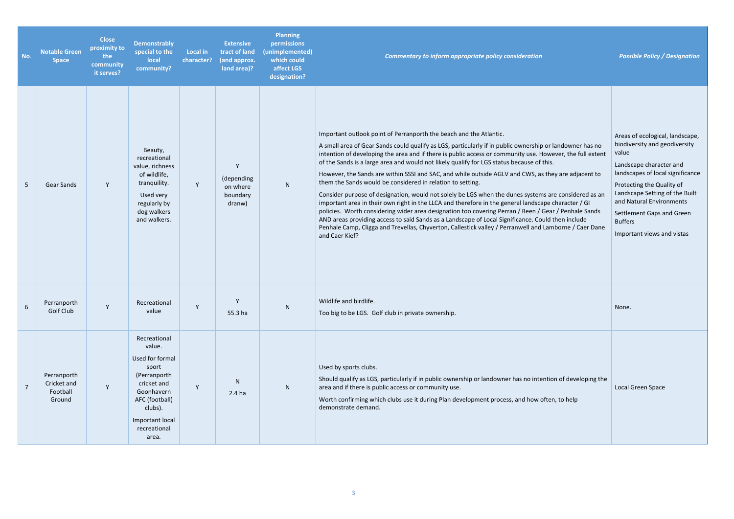*Commentary to inform appropriate policy consideration Possible Policy / Designation* 

| No.            | <b>Notable Green</b><br><b>Space</b>             | <b>Close</b><br>proximity to<br>the<br>community<br>it serves? | <b>Demonstrably</b><br>special to the<br>local<br>community?                                                                                                             | <b>Local in</b><br>character? | <b>Extensive</b><br>tract of land<br>(and approx.<br>land area)? | <b>Planning</b><br>permissions<br>(unimplemented)<br>which could<br>affect LGS<br>designation? | <b>Commentary to inform appropriate policy consideration</b>                                                                                                                                                                                                                                                                                                                                                                                                                                                                                                                                                                                                                                                                                                                                                                                                                                                                                                                                                                                                                                                          | Possi                                                                                                            |
|----------------|--------------------------------------------------|----------------------------------------------------------------|--------------------------------------------------------------------------------------------------------------------------------------------------------------------------|-------------------------------|------------------------------------------------------------------|------------------------------------------------------------------------------------------------|-----------------------------------------------------------------------------------------------------------------------------------------------------------------------------------------------------------------------------------------------------------------------------------------------------------------------------------------------------------------------------------------------------------------------------------------------------------------------------------------------------------------------------------------------------------------------------------------------------------------------------------------------------------------------------------------------------------------------------------------------------------------------------------------------------------------------------------------------------------------------------------------------------------------------------------------------------------------------------------------------------------------------------------------------------------------------------------------------------------------------|------------------------------------------------------------------------------------------------------------------|
| 5              | <b>Gear Sands</b>                                | Y                                                              | Beauty,<br>recreational<br>value, richness<br>of wildlife,<br>tranquility.<br>Used very<br>regularly by<br>dog walkers<br>and walkers.                                   | Y                             | Y<br>(depending<br>on where<br>boundary<br>dranw)                | N                                                                                              | Important outlook point of Perranporth the beach and the Atlantic.<br>A small area of Gear Sands could qualify as LGS, particularly if in public ownership or landowner has no<br>intention of developing the area and if there is public access or community use. However, the full extent<br>of the Sands is a large area and would not likely qualify for LGS status because of this.<br>However, the Sands are within SSSI and SAC, and while outside AGLV and CWS, as they are adjacent to<br>them the Sands would be considered in relation to setting.<br>Consider purpose of designation, would not solely be LGS when the dunes systems are considered as an<br>important area in their own right in the LLCA and therefore in the general landscape character / GI<br>policies. Worth considering wider area designation too covering Perran / Reen / Gear / Penhale Sands<br>AND areas providing access to said Sands as a Landscape of Local Significance. Could then include<br>Penhale Camp, Cligga and Trevellas, Chyverton, Callestick valley / Perranwell and Lamborne / Caer Dane<br>and Caer Kief? | Areas<br>biodiv<br>value<br>Landso<br>landsc<br>Protec<br>Landso<br>and Na<br>Settler<br><b>Buffer</b><br>Import |
| 6              | Perranporth<br>Golf Club                         | ٧                                                              | Recreational<br>value                                                                                                                                                    |                               | 55.3 ha                                                          | N                                                                                              | Wildlife and birdlife.<br>Too big to be LGS. Golf club in private ownership.                                                                                                                                                                                                                                                                                                                                                                                                                                                                                                                                                                                                                                                                                                                                                                                                                                                                                                                                                                                                                                          | None.                                                                                                            |
| $\overline{7}$ | Perranporth<br>Cricket and<br>Football<br>Ground | Y                                                              | Recreational<br>value.<br>Used for formal<br>sport<br>(Perranporth<br>cricket and<br>Goonhavern<br>AFC (football)<br>clubs).<br>Important local<br>recreational<br>area. | Y                             | N<br>2.4 <sub>ha</sub>                                           | ${\sf N}$                                                                                      | Used by sports clubs.<br>Should qualify as LGS, particularly if in public ownership or landowner has no intention of developing the<br>area and if there is public access or community use.<br>Worth confirming which clubs use it during Plan development process, and how often, to help<br>demonstrate demand.                                                                                                                                                                                                                                                                                                                                                                                                                                                                                                                                                                                                                                                                                                                                                                                                     | Local O                                                                                                          |

| andowner has no<br>ver, the full extent<br>y are adjacent to<br>e considered as an<br>haracter / GI<br>/ Penhale Sands<br>hen include<br>borne / Caer Dane | Areas of ecological, landscape,<br>biodiversity and geodiversity<br>value<br>Landscape character and<br>landscapes of local significance<br>Protecting the Quality of<br>Landscape Setting of the Built<br>and Natural Environments<br>Settlement Gaps and Green<br><b>Buffers</b><br>Important views and vistas |
|------------------------------------------------------------------------------------------------------------------------------------------------------------|------------------------------------------------------------------------------------------------------------------------------------------------------------------------------------------------------------------------------------------------------------------------------------------------------------------|
|                                                                                                                                                            | None.                                                                                                                                                                                                                                                                                                            |
| n of developing the<br>, to help                                                                                                                           | Local Green Space                                                                                                                                                                                                                                                                                                |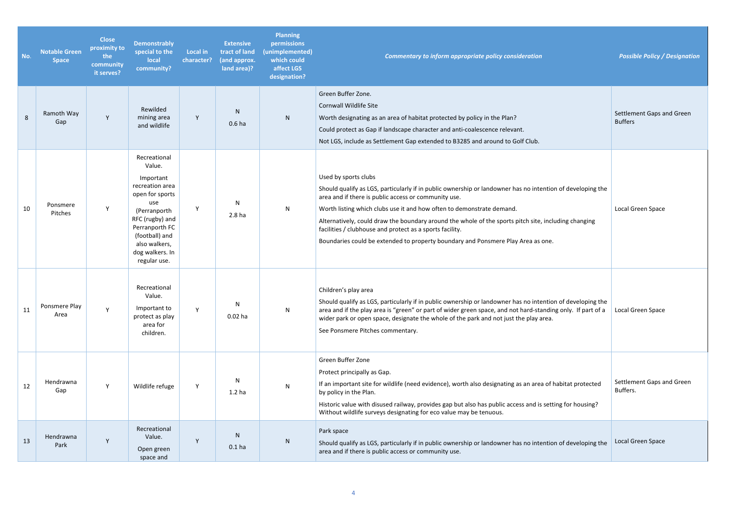| No. | <b>Notable Green</b><br><b>Space</b> | <b>Close</b><br>proximity to<br>the<br>community<br>it serves? | <b>Demonstrably</b><br>special to the<br>local<br>community?                                                                                                                                                | <b>Local in</b><br>character? | <b>Extensive</b><br>tract of land<br>(and approx.<br>land area)? | <b>Planning</b><br>permissions<br>(unimplemented)<br>which could<br>affect LGS<br>designation? | <b>Commentary to inform appropriate policy consideration</b>                                                                                                                                                                                                                                                                                                                                                                                                                                                                | <b>Possible Policy / Designation</b>        |
|-----|--------------------------------------|----------------------------------------------------------------|-------------------------------------------------------------------------------------------------------------------------------------------------------------------------------------------------------------|-------------------------------|------------------------------------------------------------------|------------------------------------------------------------------------------------------------|-----------------------------------------------------------------------------------------------------------------------------------------------------------------------------------------------------------------------------------------------------------------------------------------------------------------------------------------------------------------------------------------------------------------------------------------------------------------------------------------------------------------------------|---------------------------------------------|
| 8   | Ramoth Way<br>Gap                    | Y                                                              | Rewilded<br>mining area<br>and wildlife                                                                                                                                                                     | Y                             | N<br>0.6 <sub>ha</sub>                                           | N                                                                                              | Green Buffer Zone.<br><b>Cornwall Wildlife Site</b><br>Worth designating as an area of habitat protected by policy in the Plan?<br>Could protect as Gap if landscape character and anti-coalescence relevant.<br>Not LGS, include as Settlement Gap extended to B3285 and around to Golf Club.                                                                                                                                                                                                                              | Settlement Gaps and Green<br><b>Buffers</b> |
| 10  | Ponsmere<br>Pitches                  | Y                                                              | Recreational<br>Value.<br>Important<br>recreation area<br>open for sports<br>use<br>(Perranporth<br>RFC (rugby) and<br>Perranporth FC<br>(football) and<br>also walkers,<br>dog walkers. In<br>regular use. | Y                             | N<br>2.8 <sub>ha</sub>                                           | N                                                                                              | Used by sports clubs<br>Should qualify as LGS, particularly if in public ownership or landowner has no intention of developing the<br>area and if there is public access or community use.<br>Worth listing which clubs use it and how often to demonstrate demand.<br>Alternatively, could draw the boundary around the whole of the sports pitch site, including changing<br>facilities / clubhouse and protect as a sports facility.<br>Boundaries could be extended to property boundary and Ponsmere Play Area as one. | Local Green Space                           |
| 11  | Ponsmere Play<br>Area                | Y                                                              | Recreational<br>Value.<br>Important to<br>protect as play<br>area for<br>children.                                                                                                                          | Y                             | N<br>$0.02$ ha                                                   | N                                                                                              | Children's play area<br>Should qualify as LGS, particularly if in public ownership or landowner has no intention of developing the<br>area and if the play area is "green" or part of wider green space, and not hard-standing only. If part of a<br>wider park or open space, designate the whole of the park and not just the play area.<br>See Ponsmere Pitches commentary.                                                                                                                                              | Local Green Space                           |
| 12  | Hendrawna<br>Gap                     | Y                                                              | Wildlife refuge                                                                                                                                                                                             | Y                             | N<br>1.2 <sub>ha</sub>                                           | N                                                                                              | Green Buffer Zone<br>Protect principally as Gap.<br>If an important site for wildlife (need evidence), worth also designating as an area of habitat protected<br>by policy in the Plan.<br>Historic value with disused railway, provides gap but also has public access and is setting for housing?<br>Without wildlife surveys designating for eco value may be tenuous.                                                                                                                                                   | Settlement Gaps and Green<br>Buffers.       |
| 13  | Hendrawna<br>Park                    | Y                                                              | Recreational<br>Value.<br>Open green<br>space and                                                                                                                                                           | Y                             | N<br>0.1 <sub>ha</sub>                                           | N                                                                                              | Park space<br>Should qualify as LGS, particularly if in public ownership or landowner has no intention of developing the<br>area and if there is public access or community use.                                                                                                                                                                                                                                                                                                                                            | Local Green Space                           |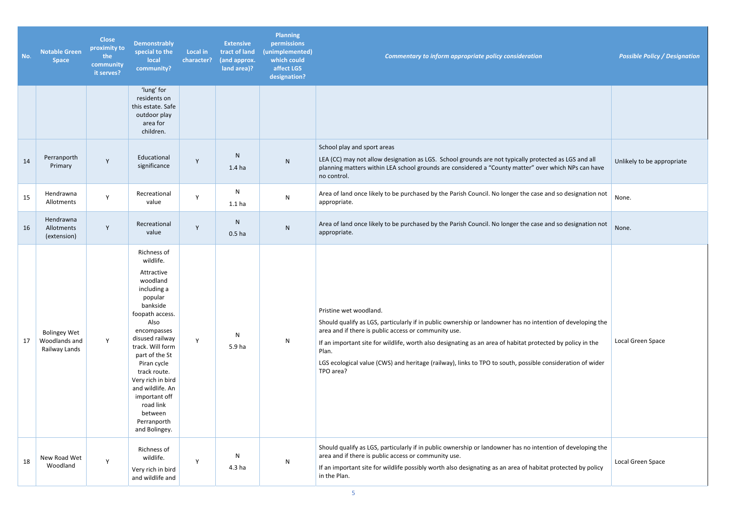*Commentary to inform appropriate policy consideration Possible Policy / Designation* 

| No. | <b>Notable Green</b><br><b>Space</b>                  | <b>Close</b><br>proximity to<br>the<br>community<br>it serves? | <b>Demonstrably</b><br>special to the<br>local<br>community?                                                                                                                                                                                                                                                                                 | <b>Local in</b><br>character? | <b>Extensive</b><br>tract of land<br>(and approx.<br>land area)? | <b>Planning</b><br>permissions<br>(unimplemented)<br>which could<br>affect LGS<br>designation? | <b>Commentary to inform appropriate policy consideration</b>                                                                                                                                                                                                                                                                                                                                                                                  | Possi   |
|-----|-------------------------------------------------------|----------------------------------------------------------------|----------------------------------------------------------------------------------------------------------------------------------------------------------------------------------------------------------------------------------------------------------------------------------------------------------------------------------------------|-------------------------------|------------------------------------------------------------------|------------------------------------------------------------------------------------------------|-----------------------------------------------------------------------------------------------------------------------------------------------------------------------------------------------------------------------------------------------------------------------------------------------------------------------------------------------------------------------------------------------------------------------------------------------|---------|
|     |                                                       |                                                                | 'lung' for<br>residents on<br>this estate. Safe<br>outdoor play<br>area for<br>children.                                                                                                                                                                                                                                                     |                               |                                                                  |                                                                                                |                                                                                                                                                                                                                                                                                                                                                                                                                                               |         |
| 14  | Perranporth<br>Primary                                | Y                                                              | Educational<br>significance                                                                                                                                                                                                                                                                                                                  | Y                             | ${\sf N}$<br>1.4 <sub>ha</sub>                                   | ${\sf N}$                                                                                      | School play and sport areas<br>LEA (CC) may not allow designation as LGS. School grounds are not typically protected as LGS and all<br>planning matters within LEA school grounds are considered a "County matter" over which NPs can have<br>no control.                                                                                                                                                                                     | Unlike  |
| 15  | Hendrawna<br>Allotments                               | Y                                                              | Recreational<br>value                                                                                                                                                                                                                                                                                                                        | Y                             | ${\sf N}$<br>1.1 <sub>ha</sub>                                   | $\mathsf{N}$                                                                                   | Area of land once likely to be purchased by the Parish Council. No longer the case and so designation not<br>appropriate.                                                                                                                                                                                                                                                                                                                     | None.   |
| 16  | Hendrawna<br>Allotments<br>(extension)                | Y                                                              | Recreational<br>value                                                                                                                                                                                                                                                                                                                        | Υ                             | ${\sf N}$<br>0.5 <sub>ha</sub>                                   | ${\sf N}$                                                                                      | Area of land once likely to be purchased by the Parish Council. No longer the case and so designation not<br>appropriate.                                                                                                                                                                                                                                                                                                                     | None.   |
| 17  | <b>Bolingey Wet</b><br>Woodlands and<br>Railway Lands | Y                                                              | Richness of<br>wildlife.<br>Attractive<br>woodland<br>including a<br>popular<br>bankside<br>foopath access.<br>Also<br>encompasses<br>disused railway<br>track. Will form<br>part of the St<br>Piran cycle<br>track route.<br>Very rich in bird<br>and wildlife. An<br>important off<br>road link<br>between<br>Perranporth<br>and Bolingey. | Y                             | $\mathsf{N}$<br>5.9 ha                                           | N                                                                                              | Pristine wet woodland.<br>Should qualify as LGS, particularly if in public ownership or landowner has no intention of developing the<br>area and if there is public access or community use.<br>If an important site for wildlife, worth also designating as an area of habitat protected by policy in the<br>Plan.<br>LGS ecological value (CWS) and heritage (railway), links to TPO to south, possible consideration of wider<br>TPO area? | Local O |
| 18  | New Road Wet<br>Woodland                              | Y                                                              | Richness of<br>wildlife.<br>Very rich in bird<br>and wildlife and                                                                                                                                                                                                                                                                            | Y                             | N<br>4.3 <sub>ha</sub>                                           | $\mathsf{N}$                                                                                   | Should qualify as LGS, particularly if in public ownership or landowner has no intention of developing the<br>area and if there is public access or community use.<br>If an important site for wildlife possibly worth also designating as an area of habitat protected by policy<br>in the Plan.                                                                                                                                             | Local O |

| d as LGS and all<br>hich NPs can have                         | Unlikely to be appropriate |
|---------------------------------------------------------------|----------------------------|
| so designation not                                            | None.                      |
| so designation not                                            | None.                      |
| n of developing the<br>by policy in the<br>ideration of wider | Local Green Space          |
| n of developing the<br>otected by policy                      | Local Green Space          |
|                                                               |                            |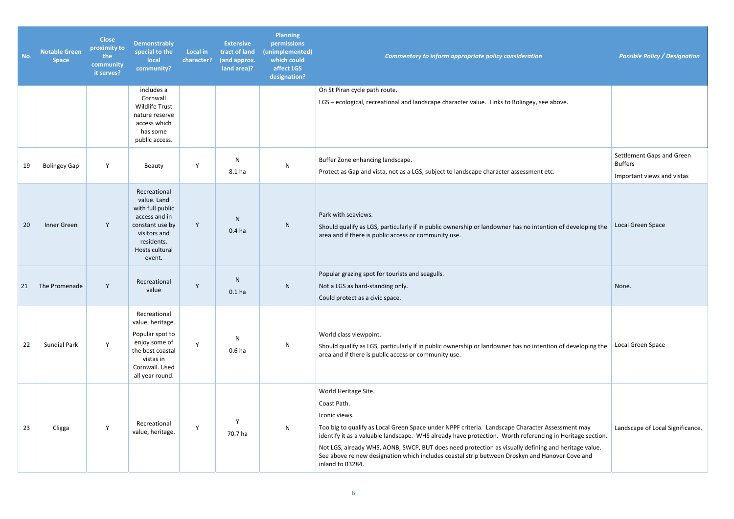*Commentary to inform appropriate policy consideration Possible Policy / Designation* 

| No. | <b>Notable Green</b><br><b>Space</b> | <b>Close</b><br>proximity to<br>the<br>community<br>it serves? | <b>Demonstrably</b><br>special to the<br><b>local</b><br>community?                                                                           | Local in<br>character? | <b>Extensive</b><br>tract of land<br>(and approx.<br>land area)? | <b>Planning</b><br>permissions<br>(unimplemented)<br>which could<br>affect LGS<br>designation? | Commentary to inform appropriate policy consideration                                                                                                                                                                                                                                                                                                                                                                                                                                            |
|-----|--------------------------------------|----------------------------------------------------------------|-----------------------------------------------------------------------------------------------------------------------------------------------|------------------------|------------------------------------------------------------------|------------------------------------------------------------------------------------------------|--------------------------------------------------------------------------------------------------------------------------------------------------------------------------------------------------------------------------------------------------------------------------------------------------------------------------------------------------------------------------------------------------------------------------------------------------------------------------------------------------|
|     |                                      |                                                                | includes a                                                                                                                                    |                        |                                                                  |                                                                                                | On St Piran cycle path route.                                                                                                                                                                                                                                                                                                                                                                                                                                                                    |
|     |                                      |                                                                | Cornwall<br><b>Wildlife Trust</b><br>nature reserve<br>access which<br>has some<br>public access.                                             |                        |                                                                  |                                                                                                | LGS - ecological, recreational and landscape character value. Links to Bolingey, see above.                                                                                                                                                                                                                                                                                                                                                                                                      |
| 19  | <b>Bolingey Gap</b>                  | Y                                                              | Beauty                                                                                                                                        | Y                      | N<br>8.1 ha                                                      | N                                                                                              | Buffer Zone enhancing landscape.<br>Protect as Gap and vista, not as a LGS, subject to landscape character assessment etc.                                                                                                                                                                                                                                                                                                                                                                       |
| 20  | Inner Green                          | Y                                                              | Recreational<br>value. Land<br>with full public<br>access and in<br>constant use by<br>visitors and<br>residents.<br>Hosts cultural<br>event. | Y                      | $\mathsf{N}$<br>0.4 <sub>ha</sub>                                | N                                                                                              | Park with seaviews.<br>Should qualify as LGS, particularly if in public ownership or landowner has no intention of developing the<br>area and if there is public access or community use.                                                                                                                                                                                                                                                                                                        |
| 21  | The Promenade                        | Y                                                              | Recreational<br>value                                                                                                                         | Y                      | N<br>0.1 <sub>ha</sub>                                           | N                                                                                              | Popular grazing spot for tourists and seagulls.<br>Not a LGS as hard-standing only.<br>Could protect as a civic space.                                                                                                                                                                                                                                                                                                                                                                           |
| 22  | <b>Sundial Park</b>                  | Y                                                              | Recreational<br>value, heritage.<br>Popular spot to<br>enjoy some of<br>the best coastal<br>vistas in<br>Cornwall. Used<br>all year round.    | Y                      | N<br>0.6 <sub>ha</sub>                                           | N                                                                                              | World class viewpoint.<br>Should qualify as LGS, particularly if in public ownership or landowner has no intention of developing the<br>area and if there is public access or community use.                                                                                                                                                                                                                                                                                                     |
| 23  | Cligga                               | Υ                                                              | Recreational<br>value, heritage.                                                                                                              | Y                      | Y<br>70.7 ha                                                     | N                                                                                              | World Heritage Site.<br>Coast Path.<br>Iconic views.<br>Too big to qualify as Local Green Space under NPPF criteria. Landscape Character Assessment may<br>identify it as a valuable landscape. WHS already have protection. Worth referencing in Heritage section.<br>Not LGS, already WHS, AONB, SWCP, BUT does need protection as visually defining and heritage value.<br>See above re new designation which includes coastal strip between Droskyn and Hanover Cove and<br>inland to B3284. |

| ove.                                                                    |                                                                           |
|-------------------------------------------------------------------------|---------------------------------------------------------------------------|
|                                                                         | Settlement Gaps and Green<br><b>Buffers</b><br>Important views and vistas |
| n of developing the                                                     | Local Green Space                                                         |
|                                                                         | None.                                                                     |
| n of developing the                                                     | Local Green Space                                                         |
| essment may<br>n Heritage section.<br>d heritage value.<br>ver Cove and | Landscape of Local Significance.                                          |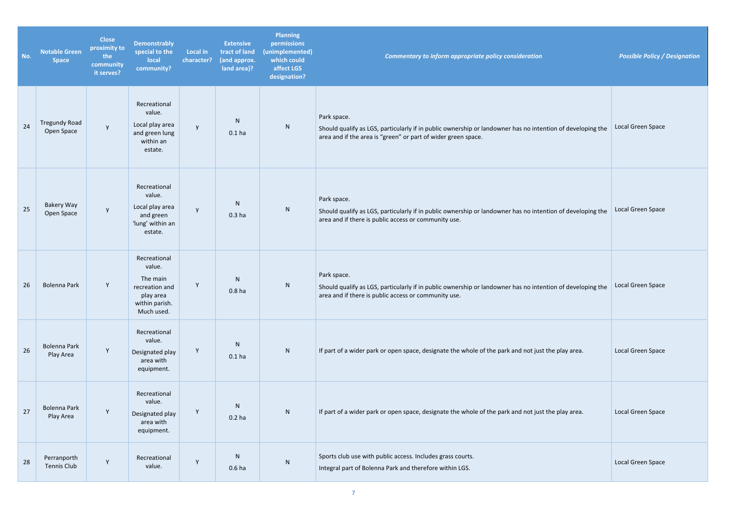| No. | <b>Notable Green</b><br><b>Space</b> | <b>Close</b><br>proximity to<br>the<br>community<br>it serves? | <b>Demonstrably</b><br>special to the<br>local<br>community?                                      | <b>Local in</b><br>character? | <b>Extensive</b><br>tract of land<br>(and approx.<br>land area)? | <b>Planning</b><br>permissions<br>(unimplemented)<br>which could<br>affect LGS<br>designation? | Commentary to inform appropriate policy consideration                                                                                                                                      | <b>Possible Policy / Designation</b> |
|-----|--------------------------------------|----------------------------------------------------------------|---------------------------------------------------------------------------------------------------|-------------------------------|------------------------------------------------------------------|------------------------------------------------------------------------------------------------|--------------------------------------------------------------------------------------------------------------------------------------------------------------------------------------------|--------------------------------------|
| 24  | <b>Tregundy Road</b><br>Open Space   | $\mathsf{y}$                                                   | Recreational<br>value.<br>Local play area<br>and green lung<br>within an<br>estate.               | y                             | N<br>0.1 <sub>ha</sub>                                           | N                                                                                              | Park space.<br>Should qualify as LGS, particularly if in public ownership or landowner has no intention of developing the<br>area and if the area is "green" or part of wider green space. | Local Green Space                    |
| 25  | Bakery Way<br>Open Space             | y                                                              | Recreational<br>value.<br>Local play area<br>and green<br>'lung' within an<br>estate.             | y                             | N<br>0.3 <sub>ha</sub>                                           | ${\sf N}$                                                                                      | Park space.<br>Should qualify as LGS, particularly if in public ownership or landowner has no intention of developing the<br>area and if there is public access or community use.          | Local Green Space                    |
| 26  | <b>Bolenna Park</b>                  | Y                                                              | Recreational<br>value.<br>The main<br>recreation and<br>play area<br>within parish.<br>Much used. | Y                             | N <sub>1</sub><br>0.8 <sub>ha</sub>                              | N                                                                                              | Park space.<br>Should qualify as LGS, particularly if in public ownership or landowner has no intention of developing the<br>area and if there is public access or community use.          | Local Green Space                    |
| 26  | <b>Bolenna Park</b><br>Play Area     | $\mathsf Y$                                                    | Recreational<br>value.<br>Designated play<br>area with<br>equipment.                              | Y                             | N<br>0.1 <sub>ha</sub>                                           | ${\sf N}$                                                                                      | If part of a wider park or open space, designate the whole of the park and not just the play area.                                                                                         | Local Green Space                    |
| 27  | Bolenna Park<br>Play Area            | Y                                                              | Recreational<br>value.<br>Designated play<br>area with<br>equipment.                              | Y                             | N<br>0.2 <sub>ha</sub>                                           | ${\sf N}$                                                                                      | If part of a wider park or open space, designate the whole of the park and not just the play area.                                                                                         | Local Green Space                    |
| 28  | Perranporth<br><b>Tennis Club</b>    | Y                                                              | Recreational<br>value.                                                                            | Y                             | N<br>0.6 <sub>ha</sub>                                           | N                                                                                              | Sports club use with public access. Includes grass courts.<br>Integral part of Bolenna Park and therefore within LGS.                                                                      | Local Green Space                    |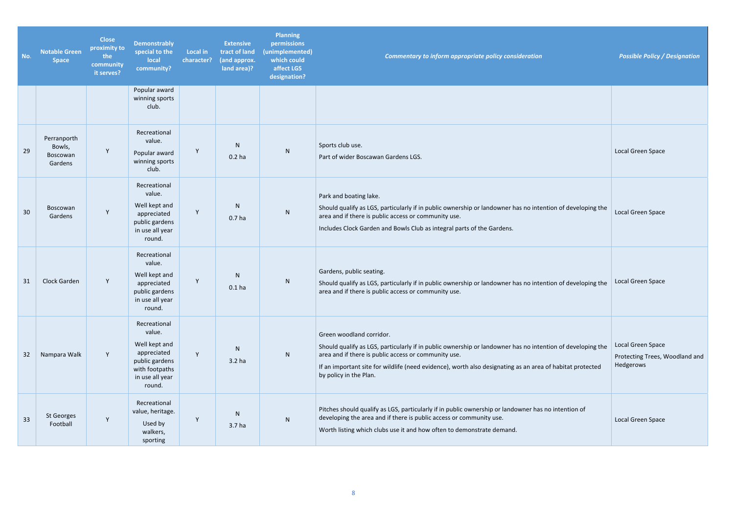| No. | <b>Notable Green</b><br><b>Space</b>                | <b>Close</b><br>proximity to<br>the<br>community<br>it serves? | <b>Demonstrably</b><br>special to the<br>local<br>community?                                                            | <b>Local in</b><br>character? | <b>Extensive</b><br>tract of land<br>(and approx.<br>land area)? | <b>Planning</b><br>permissions<br>(unimplemented)<br>which could<br>affect LGS<br>designation? | Commentary to inform appropriate policy consideration                                                                                                                                                                                                                                                                                 | <b>Possible Policy / Designation</b>                             |
|-----|-----------------------------------------------------|----------------------------------------------------------------|-------------------------------------------------------------------------------------------------------------------------|-------------------------------|------------------------------------------------------------------|------------------------------------------------------------------------------------------------|---------------------------------------------------------------------------------------------------------------------------------------------------------------------------------------------------------------------------------------------------------------------------------------------------------------------------------------|------------------------------------------------------------------|
|     |                                                     |                                                                | Popular award<br>winning sports<br>club.                                                                                |                               |                                                                  |                                                                                                |                                                                                                                                                                                                                                                                                                                                       |                                                                  |
| 29  | Perranporth<br>Bowls,<br><b>Boscowan</b><br>Gardens | Y                                                              | Recreational<br>value.<br>Popular award<br>winning sports<br>club.                                                      | Y                             | N.<br>$0.2$ ha                                                   | N                                                                                              | Sports club use.<br>Part of wider Boscawan Gardens LGS.                                                                                                                                                                                                                                                                               | Local Green Space                                                |
| 30  | Boscowan<br>Gardens                                 | Y                                                              | Recreational<br>value.<br>Well kept and<br>appreciated<br>public gardens<br>in use all year<br>round.                   | Y                             | N<br>0.7 <sub>ha</sub>                                           | ${\sf N}$                                                                                      | Park and boating lake.<br>Should qualify as LGS, particularly if in public ownership or landowner has no intention of developing the<br>area and if there is public access or community use.<br>Includes Clock Garden and Bowls Club as integral parts of the Gardens.                                                                | Local Green Space                                                |
| 31  | Clock Garden                                        | Y                                                              | Recreational<br>value.<br>Well kept and<br>appreciated<br>public gardens<br>in use all year<br>round.                   | Y                             | N<br>0.1 <sub>ha</sub>                                           | N                                                                                              | Gardens, public seating.<br>Should qualify as LGS, particularly if in public ownership or landowner has no intention of developing the<br>area and if there is public access or community use.                                                                                                                                        | Local Green Space                                                |
| 32  | Nampara Walk                                        | Y                                                              | Recreational<br>value.<br>Well kept and<br>appreciated<br>public gardens<br>with footpaths<br>in use all year<br>round. | Y.                            | N<br>3.2 <sub>ha</sub>                                           | ${\sf N}$                                                                                      | Green woodland corridor.<br>Should qualify as LGS, particularly if in public ownership or landowner has no intention of developing the<br>area and if there is public access or community use.<br>If an important site for wildlife (need evidence), worth also designating as an area of habitat protected<br>by policy in the Plan. | Local Green Space<br>Protecting Trees, Woodland and<br>Hedgerows |
| 33  | St Georges<br>Football                              | Y                                                              | Recreational<br>value, heritage.<br>Used by<br>walkers,<br>sporting                                                     | Y                             | N.<br>3.7 <sub>ha</sub>                                          | N                                                                                              | Pitches should qualify as LGS, particularly if in public ownership or landowner has no intention of<br>developing the area and if there is public access or community use.<br>Worth listing which clubs use it and how often to demonstrate demand.                                                                                   | Local Green Space                                                |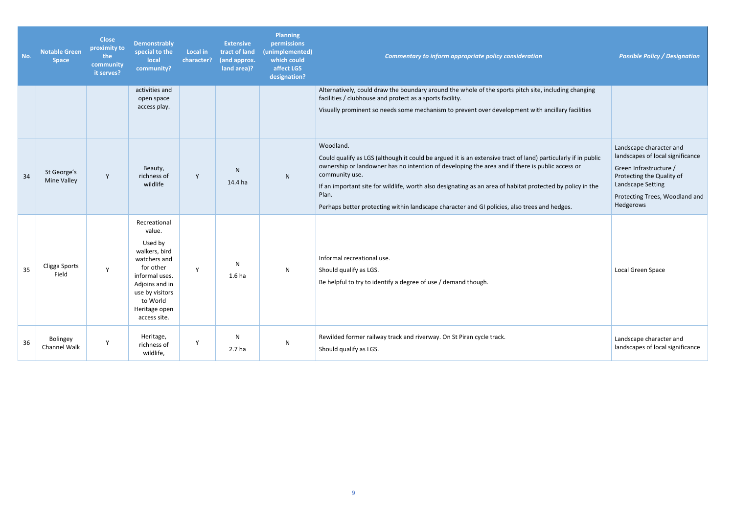| No. | <b>Notable Green</b><br><b>Space</b> | <b>Close</b><br>proximity to<br>the<br>community<br>it serves? | <b>Demonstrably</b><br>special to the<br>local<br>community?                                                                                                                        | <b>Local in</b><br>character? | <b>Extensive</b><br>tract of land<br>(and approx.<br>land area)? | <b>Planning</b><br>permissions<br>(unimplemented)<br>which could<br>affect LGS<br>designation? | Commentary to inform appropriate policy consideration                                                                                                                                                                                                                                                                                                                                                                                                                  | <b>Possible Policy / Designation</b>                                                                                                                                                   |
|-----|--------------------------------------|----------------------------------------------------------------|-------------------------------------------------------------------------------------------------------------------------------------------------------------------------------------|-------------------------------|------------------------------------------------------------------|------------------------------------------------------------------------------------------------|------------------------------------------------------------------------------------------------------------------------------------------------------------------------------------------------------------------------------------------------------------------------------------------------------------------------------------------------------------------------------------------------------------------------------------------------------------------------|----------------------------------------------------------------------------------------------------------------------------------------------------------------------------------------|
|     |                                      |                                                                | activities and<br>open space<br>access play.                                                                                                                                        |                               |                                                                  |                                                                                                | Alternatively, could draw the boundary around the whole of the sports pitch site, including changing<br>facilities / clubhouse and protect as a sports facility.<br>Visually prominent so needs some mechanism to prevent over development with ancillary facilities                                                                                                                                                                                                   |                                                                                                                                                                                        |
| 34  | St George's<br>Mine Valley           | Y                                                              | Beauty,<br>richness of<br>wildlife                                                                                                                                                  | Y                             | N<br>14.4 ha                                                     | N                                                                                              | Woodland.<br>Could qualify as LGS (although it could be argued it is an extensive tract of land) particularly if in public<br>ownership or landowner has no intention of developing the area and if there is public access or<br>community use.<br>If an important site for wildlife, worth also designating as an area of habitat protected by policy in the<br>Plan.<br>Perhaps better protecting within landscape character and GI policies, also trees and hedges. | Landscape character and<br>landscapes of local significance<br>Green Infrastructure /<br>Protecting the Quality of<br>Landscape Setting<br>Protecting Trees, Woodland and<br>Hedgerows |
| 35  | Cligga Sports<br>Field               | Y                                                              | Recreational<br>value.<br>Used by<br>walkers, bird<br>watchers and<br>for other<br>informal uses.<br>Adjoins and in<br>use by visitors<br>to World<br>Heritage open<br>access site. | Y                             | N<br>1.6 <sub>ha</sub>                                           | N                                                                                              | Informal recreational use.<br>Should qualify as LGS.<br>Be helpful to try to identify a degree of use / demand though.                                                                                                                                                                                                                                                                                                                                                 | Local Green Space                                                                                                                                                                      |
| 36  | Bolingey<br>Channel Walk             | Y                                                              | Heritage,<br>richness of<br>wildlife,                                                                                                                                               | Y                             | $\mathsf{N}$<br>2.7 <sub>ha</sub>                                | ${\sf N}$                                                                                      | Rewilded former railway track and riverway. On St Piran cycle track.<br>Should qualify as LGS.                                                                                                                                                                                                                                                                                                                                                                         | Landscape character and<br>landscapes of local significance                                                                                                                            |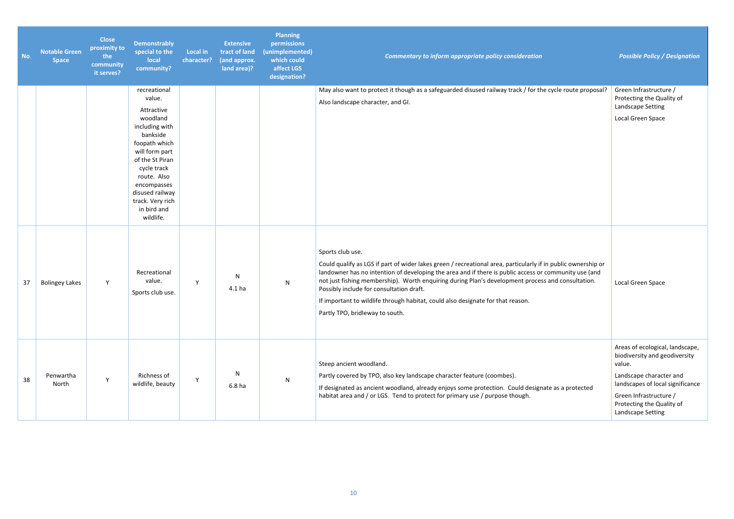| No. | <b>Notable Green</b><br><b>Space</b> | <b>Close</b><br>proximity to<br>the<br>community<br>it serves? | <b>Demonstrably</b><br>special to the<br>local<br>community?                                                                                                                                                                                         | <b>Local in</b><br>character? | <b>Extensive</b><br>tract of land<br>(and approx.<br>land area)? | <b>Planning</b><br>permissions<br>(unimplemented)<br>which could<br>affect LGS<br>designation? | Commentary to inform appropriate policy consideration                                                                                                                                                                                                                                                                                                                                                                                                                                                             | <b>Possible Policy / Designation</b>                                                                                                                                                                                  |
|-----|--------------------------------------|----------------------------------------------------------------|------------------------------------------------------------------------------------------------------------------------------------------------------------------------------------------------------------------------------------------------------|-------------------------------|------------------------------------------------------------------|------------------------------------------------------------------------------------------------|-------------------------------------------------------------------------------------------------------------------------------------------------------------------------------------------------------------------------------------------------------------------------------------------------------------------------------------------------------------------------------------------------------------------------------------------------------------------------------------------------------------------|-----------------------------------------------------------------------------------------------------------------------------------------------------------------------------------------------------------------------|
|     |                                      |                                                                | recreational<br>value.<br>Attractive<br>woodland<br>including with<br>bankside<br>foopath which<br>will form part<br>of the St Piran<br>cycle track<br>route. Also<br>encompasses<br>disused railway<br>track. Very rich<br>in bird and<br>wildlife. |                               |                                                                  |                                                                                                | May also want to protect it though as a safeguarded disused railway track / for the cycle route proposal?<br>Also landscape character, and GI.                                                                                                                                                                                                                                                                                                                                                                    | Green Infrastructure /<br>Protecting the Quality of<br>Landscape Setting<br>Local Green Space                                                                                                                         |
| 37  | <b>Bolingey Lakes</b>                | Y                                                              | Recreational<br>value.<br>Sports club use.                                                                                                                                                                                                           | Y                             | N<br>4.1 <sub>ha</sub>                                           | ${\sf N}$                                                                                      | Sports club use.<br>Could qualify as LGS if part of wider lakes green / recreational area, particularly if in public ownership or<br>landowner has no intention of developing the area and if there is public access or community use (and<br>not just fishing membership). Worth enquiring during Plan's development process and consultation.<br>Possibly include for consultation draft.<br>If important to wildlife through habitat, could also designate for that reason.<br>Partly TPO, bridleway to south. | Local Green Space                                                                                                                                                                                                     |
| 38  | Penwartha<br>North                   | Y                                                              | Richness of<br>wildlife, beauty                                                                                                                                                                                                                      | Y                             | N<br>6.8 <sub>ha</sub>                                           | $\mathsf{N}$                                                                                   | Steep ancient woodland.<br>Partly covered by TPO, also key landscape character feature (coombes).<br>If designated as ancient woodland, already enjoys some protection. Could designate as a protected<br>habitat area and / or LGS. Tend to protect for primary use / purpose though.                                                                                                                                                                                                                            | Areas of ecological, landscape,<br>biodiversity and geodiversity<br>value.<br>Landscape character and<br>landscapes of local significance<br>Green Infrastructure /<br>Protecting the Quality of<br>Landscape Setting |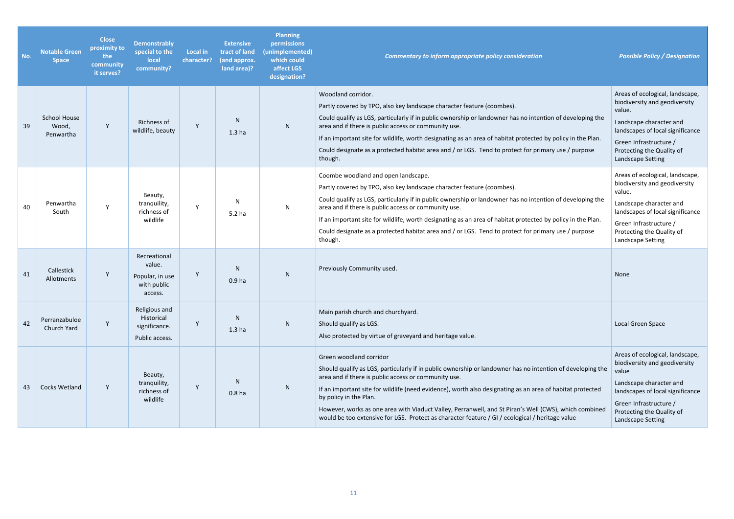| No. | <b>Notable Green</b><br><b>Space</b>      | <b>Close</b><br>proximity to<br>the<br>community<br>it serves? | <b>Demonstrably</b><br>special to the<br>local<br>community?        | <b>Local in</b><br>character? | <b>Extensive</b><br>tract of land<br>(and approx.<br>land area)? | <b>Planning</b><br>permissions<br>(unimplemented)<br>which could<br>affect LGS<br>designation? | Commentary to inform appropriate policy consideration                                                                                                                                                                                                                                                                                                                                                                                                                                                                                            | <b>Possible Policy / Designation</b>                                                                                                                                                                                  |
|-----|-------------------------------------------|----------------------------------------------------------------|---------------------------------------------------------------------|-------------------------------|------------------------------------------------------------------|------------------------------------------------------------------------------------------------|--------------------------------------------------------------------------------------------------------------------------------------------------------------------------------------------------------------------------------------------------------------------------------------------------------------------------------------------------------------------------------------------------------------------------------------------------------------------------------------------------------------------------------------------------|-----------------------------------------------------------------------------------------------------------------------------------------------------------------------------------------------------------------------|
| 39  | <b>School House</b><br>Wood,<br>Penwartha | Y                                                              | Richness of<br>wildlife, beauty                                     | Y                             | N.<br>1.3 <sub>ha</sub>                                          | ${\sf N}$                                                                                      | Woodland corridor.<br>Partly covered by TPO, also key landscape character feature (coombes).<br>Could qualify as LGS, particularly if in public ownership or landowner has no intention of developing the<br>area and if there is public access or community use.<br>If an important site for wildlife, worth designating as an area of habitat protected by policy in the Plan.<br>Could designate as a protected habitat area and / or LGS. Tend to protect for primary use / purpose<br>though.                                               | Areas of ecological, landscape,<br>biodiversity and geodiversity<br>value.<br>Landscape character and<br>landscapes of local significance<br>Green Infrastructure /<br>Protecting the Quality of<br>Landscape Setting |
| 40  | Penwartha<br>South                        | $\mathsf{v}$                                                   | Beauty,<br>tranquility,<br>richness of<br>wildlife                  | Y                             | N<br>5.2 <sub>ha</sub>                                           | $\mathsf{N}$                                                                                   | Coombe woodland and open landscape.<br>Partly covered by TPO, also key landscape character feature (coombes).<br>Could qualify as LGS, particularly if in public ownership or landowner has no intention of developing the<br>area and if there is public access or community use.<br>If an important site for wildlife, worth designating as an area of habitat protected by policy in the Plan.<br>Could designate as a protected habitat area and / or LGS. Tend to protect for primary use / purpose<br>though.                              | Areas of ecological, landscape,<br>biodiversity and geodiversity<br>value.<br>Landscape character and<br>landscapes of local significance<br>Green Infrastructure /<br>Protecting the Quality of<br>Landscape Setting |
| 41  | Callestick<br>Allotments                  | Y                                                              | Recreational<br>value.<br>Popular, in use<br>with public<br>access. | Y                             | N.<br>0.9 <sub>ha</sub>                                          | ${\sf N}$                                                                                      | Previously Community used.                                                                                                                                                                                                                                                                                                                                                                                                                                                                                                                       | None                                                                                                                                                                                                                  |
| 42  | Perranzabuloe<br>Church Yard              | Y                                                              | Religious and<br>Historical<br>significance.<br>Public access.      | Υ                             | N<br>1.3 <sub>ha</sub>                                           | ${\sf N}$                                                                                      | Main parish church and churchyard.<br>Should qualify as LGS.<br>Also protected by virtue of graveyard and heritage value.                                                                                                                                                                                                                                                                                                                                                                                                                        | Local Green Space                                                                                                                                                                                                     |
| 43  | <b>Cocks Wetland</b>                      | Y                                                              | Beauty,<br>tranquility,<br>richness of<br>wildlife                  | Y                             | N<br>0.8 <sub>ha</sub>                                           | ${\sf N}$                                                                                      | Green woodland corridor<br>Should qualify as LGS, particularly if in public ownership or landowner has no intention of developing the<br>area and if there is public access or community use.<br>If an important site for wildlife (need evidence), worth also designating as an area of habitat protected<br>by policy in the Plan.<br>However, works as one area with Viaduct Valley, Perranwell, and St Piran's Well (CWS), which combined<br>would be too extensive for LGS. Protect as character feature / GI / ecological / heritage value | Areas of ecological, landscape,<br>biodiversity and geodiversity<br>value<br>Landscape character and<br>landscapes of local significance<br>Green Infrastructure /<br>Protecting the Quality of<br>Landscape Setting  |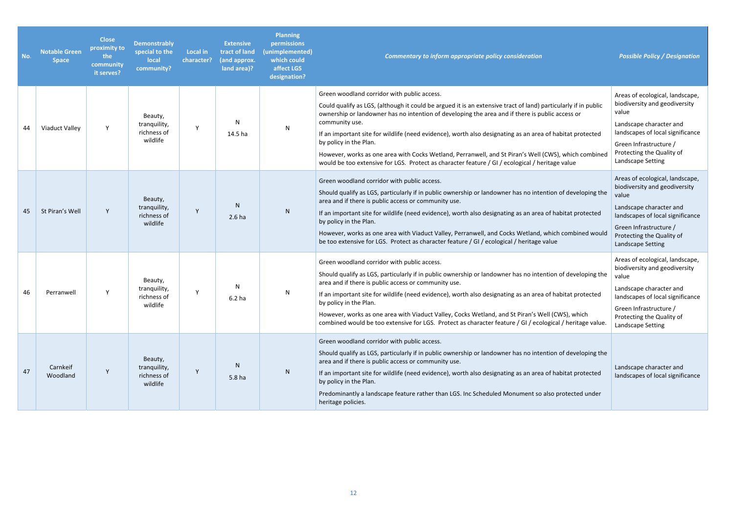| No. | <b>Notable Green</b><br><b>Space</b> | <b>Close</b><br>proximity to<br>the<br>community<br>it serves? | <b>Demonstrably</b><br>special to the<br>local<br>community? | <b>Local in</b><br>character? | <b>Extensive</b><br>tract of land<br>(and approx.<br>land area)? | <b>Planning</b><br>permissions<br>(unimplemented)<br>which could<br>affect LGS<br>designation? | <b>Commentary to inform appropriate policy consideration</b>                                                                                                                                                                                                                                                                                                                                                                                                                                                                                                                                                                         | <b>Possible Policy / Designation</b>                                                                                                                                                                                 |
|-----|--------------------------------------|----------------------------------------------------------------|--------------------------------------------------------------|-------------------------------|------------------------------------------------------------------|------------------------------------------------------------------------------------------------|--------------------------------------------------------------------------------------------------------------------------------------------------------------------------------------------------------------------------------------------------------------------------------------------------------------------------------------------------------------------------------------------------------------------------------------------------------------------------------------------------------------------------------------------------------------------------------------------------------------------------------------|----------------------------------------------------------------------------------------------------------------------------------------------------------------------------------------------------------------------|
| 44  | Viaduct Valley                       | $\mathsf{Y}$                                                   | Beauty,<br>tranquility,<br>richness of<br>wildlife           | $\mathsf{Y}$                  | N<br>14.5 ha                                                     | N                                                                                              | Green woodland corridor with public access.<br>Could qualify as LGS, (although it could be argued it is an extensive tract of land) particularly if in public<br>ownership or landowner has no intention of developing the area and if there is public access or<br>community use.<br>If an important site for wildlife (need evidence), worth also designating as an area of habitat protected<br>by policy in the Plan.<br>However, works as one area with Cocks Wetland, Perranwell, and St Piran's Well (CWS), which combined<br>would be too extensive for LGS. Protect as character feature / GI / ecological / heritage value | Areas of ecological, landscape,<br>biodiversity and geodiversity<br>value<br>Landscape character and<br>landscapes of local significance<br>Green Infrastructure /<br>Protecting the Quality of<br>Landscape Setting |
| 45  | St Piran's Well                      | Y                                                              | Beauty,<br>tranquility,<br>richness of<br>wildlife           | Y                             | <sub>N</sub><br>2.6 <sub>ha</sub>                                | ${\sf N}$                                                                                      | Green woodland corridor with public access.<br>Should qualify as LGS, particularly if in public ownership or landowner has no intention of developing the<br>area and if there is public access or community use.<br>If an important site for wildlife (need evidence), worth also designating as an area of habitat protected<br>by policy in the Plan.<br>However, works as one area with Viaduct Valley, Perranwell, and Cocks Wetland, which combined would<br>be too extensive for LGS. Protect as character feature / GI / ecological / heritage value                                                                         | Areas of ecological, landscape,<br>biodiversity and geodiversity<br>value<br>Landscape character and<br>landscapes of local significance<br>Green Infrastructure /<br>Protecting the Quality of<br>Landscape Setting |
| 46  | Perranwell                           | $\mathsf{Y}$                                                   | Beauty,<br>tranquility,<br>richness of<br>wildlife           | Y                             | N<br>6.2 <sub>ha</sub>                                           | N                                                                                              | Green woodland corridor with public access.<br>Should qualify as LGS, particularly if in public ownership or landowner has no intention of developing the<br>area and if there is public access or community use.<br>If an important site for wildlife (need evidence), worth also designating as an area of habitat protected<br>by policy in the Plan.<br>However, works as one area with Viaduct Valley, Cocks Wetland, and St Piran's Well (CWS), which<br>combined would be too extensive for LGS. Protect as character feature / GI / ecological / heritage value.                                                             | Areas of ecological, landscape,<br>biodiversity and geodiversity<br>value<br>Landscape character and<br>landscapes of local significance<br>Green Infrastructure /<br>Protecting the Quality of<br>Landscape Setting |
| 47  | Carnkeif<br>Woodland                 | $\mathsf{Y}$                                                   | Beauty,<br>tranquility,<br>richness of<br>wildlife           | Y                             | N.<br>5.8 <sub>ha</sub>                                          | N                                                                                              | Green woodland corridor with public access.<br>Should qualify as LGS, particularly if in public ownership or landowner has no intention of developing the<br>area and if there is public access or community use.<br>If an important site for wildlife (need evidence), worth also designating as an area of habitat protected<br>by policy in the Plan.<br>Predominantly a landscape feature rather than LGS. Inc Scheduled Monument so also protected under<br>heritage policies.                                                                                                                                                  | Landscape character and<br>landscapes of local significance                                                                                                                                                          |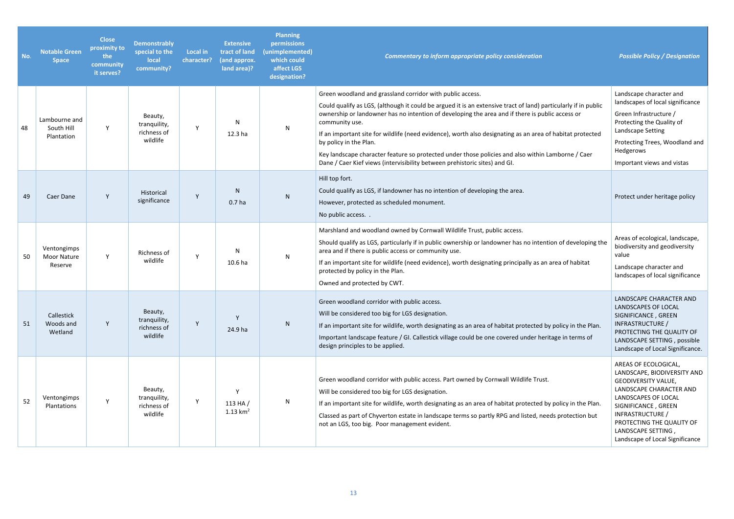| No. | <b>Notable Green</b><br><b>Space</b>         | <b>Close</b><br>proximity to<br>the<br>community<br>it serves? | <b>Demonstrably</b><br>special to the<br>local<br>community? | <b>Local in</b><br>character? | <b>Extensive</b><br>tract of land<br>(and approx.<br>land area)? | <b>Planning</b><br>permissions<br>(unimplemented)<br>which could<br>affect LGS<br>designation? | <b>Commentary to inform appropriate policy consideration</b>                                                                                                                                                                                                                                                                                                                                                                                                                                                                                                                                                               | <b>Possible Policy / Designation</b>                                                                                                                                                                                                                                 |
|-----|----------------------------------------------|----------------------------------------------------------------|--------------------------------------------------------------|-------------------------------|------------------------------------------------------------------|------------------------------------------------------------------------------------------------|----------------------------------------------------------------------------------------------------------------------------------------------------------------------------------------------------------------------------------------------------------------------------------------------------------------------------------------------------------------------------------------------------------------------------------------------------------------------------------------------------------------------------------------------------------------------------------------------------------------------------|----------------------------------------------------------------------------------------------------------------------------------------------------------------------------------------------------------------------------------------------------------------------|
| 48  | Lambourne and<br>South Hill<br>Plantation    | Y                                                              | Beauty,<br>tranquility,<br>richness of<br>wildlife           | <b>Y</b>                      | N<br>12.3 ha                                                     | ${\sf N}$                                                                                      | Green woodland and grassland corridor with public access.<br>Could qualify as LGS, (although it could be argued it is an extensive tract of land) particularly if in public<br>ownership or landowner has no intention of developing the area and if there is public access or<br>community use.<br>If an important site for wildlife (need evidence), worth also designating as an area of habitat protected<br>by policy in the Plan.<br>Key landscape character feature so protected under those policies and also within Lamborne / Caer<br>Dane / Caer Kief views (intervisibility between prehistoric sites) and GI. | Landscape character and<br>landscapes of local significance<br>Green Infrastructure /<br>Protecting the Quality of<br>Landscape Setting<br>Protecting Trees, Woodland and<br>Hedgerows<br>Important views and vistas                                                 |
| 49  | Caer Dane                                    | Y                                                              | Historical<br>significance                                   | Y                             | N<br>0.7 <sub>ha</sub>                                           | ${\sf N}$                                                                                      | Hill top fort.<br>Could qualify as LGS, if landowner has no intention of developing the area.<br>However, protected as scheduled monument.<br>No public access                                                                                                                                                                                                                                                                                                                                                                                                                                                             | Protect under heritage policy                                                                                                                                                                                                                                        |
| 50  | Ventongimps<br><b>Moor Nature</b><br>Reserve | Y                                                              | Richness of<br>wildlife                                      | Y                             | N<br>10.6 ha                                                     | N                                                                                              | Marshland and woodland owned by Cornwall Wildlife Trust, public access.<br>Should qualify as LGS, particularly if in public ownership or landowner has no intention of developing the<br>area and if there is public access or community use.<br>If an important site for wildlife (need evidence), worth designating principally as an area of habitat<br>protected by policy in the Plan.<br>Owned and protected by CWT.                                                                                                                                                                                                 | Areas of ecological, landscape,<br>biodiversity and geodiversity<br>value<br>Landscape character and<br>landscapes of local significance                                                                                                                             |
| 51  | Callestick<br>Woods and<br>Wetland           | Y                                                              | Beauty,<br>tranquility,<br>richness of<br>wildlife           | Y                             | $\mathsf{v}$<br>24.9 ha                                          | ${\sf N}$                                                                                      | Green woodland corridor with public access.<br>Will be considered too big for LGS designation.<br>If an important site for wildlife, worth designating as an area of habitat protected by policy in the Plan.<br>Important landscape feature / GI. Callestick village could be one covered under heritage in terms of<br>design principles to be applied.                                                                                                                                                                                                                                                                  | LANDSCAPE CHARACTER AND<br>LANDSCAPES OF LOCAL<br>SIGNIFICANCE, GREEN<br>INFRASTRUCTURE /<br>PROTECTING THE QUALITY OF<br>LANDSCAPE SETTING, possible<br>Landscape of Local Significance.                                                                            |
| 52  | Ventongimps<br>Plantations                   | Y                                                              | Beauty,<br>tranquility,<br>richness of<br>wildlife           | Y                             | $\mathsf{v}$<br>113 $HA/$<br>1.13 $km^2$                         | N                                                                                              | Green woodland corridor with public access. Part owned by Cornwall Wildlife Trust.<br>Will be considered too big for LGS designation.<br>If an important site for wildlife, worth designating as an area of habitat protected by policy in the Plan.<br>Classed as part of Chyverton estate in landscape terms so partly RPG and listed, needs protection but<br>not an LGS, too big. Poor management evident.                                                                                                                                                                                                             | AREAS OF ECOLOGICAL,<br>LANDSCAPE, BIODIVERSITY AND<br><b>GEODIVERSITY VALUE,</b><br>LANDSCAPE CHARACTER AND<br>LANDSCAPES OF LOCAL<br>SIGNIFICANCE, GREEN<br>INFRASTRUCTURE /<br>PROTECTING THE QUALITY OF<br>LANDSCAPE SETTING,<br>Landscape of Local Significance |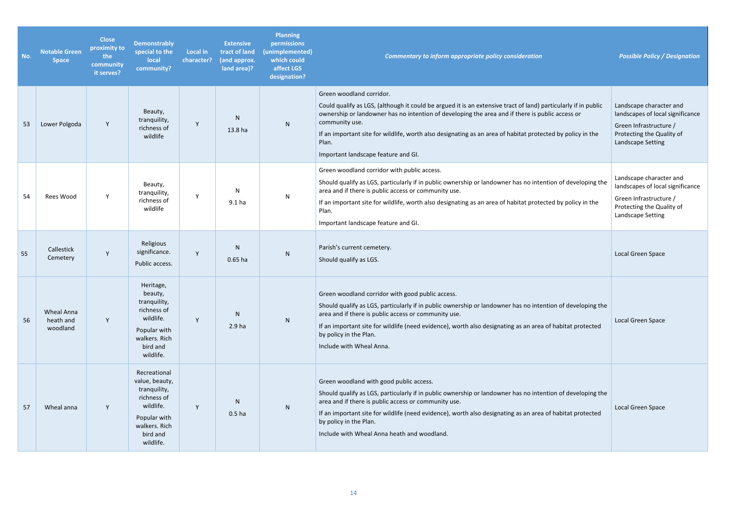| No. | <b>Notable Green</b><br><b>Space</b> | <b>Close</b><br>proximity to<br>the<br>community<br>it serves? | <b>Demonstrably</b><br>special to the<br>local<br>community?                                                                         | <b>Local in</b><br>character? | <b>Extensive</b><br>tract of land<br>(and approx.<br>land area)? | <b>Planning</b><br>permissions<br>(unimplemented)<br>which could<br>affect LGS<br>designation? | Commentary to inform appropriate policy consideration                                                                                                                                                                                                                                                                                                                                                                         | <b>Possible Policy / Designation</b>                                                                                                    |
|-----|--------------------------------------|----------------------------------------------------------------|--------------------------------------------------------------------------------------------------------------------------------------|-------------------------------|------------------------------------------------------------------|------------------------------------------------------------------------------------------------|-------------------------------------------------------------------------------------------------------------------------------------------------------------------------------------------------------------------------------------------------------------------------------------------------------------------------------------------------------------------------------------------------------------------------------|-----------------------------------------------------------------------------------------------------------------------------------------|
| 53  | Lower Polgoda                        | Y                                                              | Beauty,<br>tranquility,<br>richness of<br>wildlife                                                                                   | Y                             | N<br>13.8 ha                                                     | N                                                                                              | Green woodland corridor.<br>Could qualify as LGS, (although it could be argued it is an extensive tract of land) particularly if in public<br>ownership or landowner has no intention of developing the area and if there is public access or<br>community use.<br>If an important site for wildlife, worth also designating as an area of habitat protected by policy in the<br>Plan.<br>Important landscape feature and GI. | Landscape character and<br>landscapes of local significance<br>Green Infrastructure /<br>Protecting the Quality of<br>Landscape Setting |
| 54  | Rees Wood                            | Y                                                              | Beauty,<br>tranquility,<br>richness of<br>wildlife                                                                                   | Y                             | N<br>9.1 <sub>ha</sub>                                           | $\mathsf{N}$                                                                                   | Green woodland corridor with public access.<br>Should qualify as LGS, particularly if in public ownership or landowner has no intention of developing the<br>area and if there is public access or community use.<br>If an important site for wildlife, worth also designating as an area of habitat protected by policy in the<br>Plan.<br>Important landscape feature and GI.                                               | Landscape character and<br>landscapes of local significance<br>Green Infrastructure /<br>Protecting the Quality of<br>Landscape Setting |
| 55  | Callestick<br>Cemetery               | Y                                                              | Religious<br>significance.<br>Public access.                                                                                         | Y                             | N.<br>$0.65$ ha                                                  | ${\sf N}$                                                                                      | Parish's current cemetery.<br>Should qualify as LGS.                                                                                                                                                                                                                                                                                                                                                                          | Local Green Space                                                                                                                       |
| 56  | Wheal Anna<br>heath and<br>woodland  | Y                                                              | Heritage,<br>beauty,<br>tranquility,<br>richness of<br>wildlife.<br>Popular with<br>walkers. Rich<br>bird and<br>wildlife.           | Y                             | N<br>2.9 <sub>ha</sub>                                           | N                                                                                              | Green woodland corridor with good public access.<br>Should qualify as LGS, particularly if in public ownership or landowner has no intention of developing the<br>area and if there is public access or community use.<br>If an important site for wildlife (need evidence), worth also designating as an area of habitat protected<br>by policy in the Plan.<br>Include with Wheal Anna.                                     | Local Green Space                                                                                                                       |
| 57  | Wheal anna                           | Y                                                              | Recreational<br>value, beauty,<br>tranquility,<br>richness of<br>wildlife.<br>Popular with<br>walkers. Rich<br>bird and<br>wildlife. | Y                             | N<br>0.5 <sub>ha</sub>                                           | N                                                                                              | Green woodland with good public access.<br>Should qualify as LGS, particularly if in public ownership or landowner has no intention of developing the<br>area and if there is public access or community use.<br>If an important site for wildlife (need evidence), worth also designating as an area of habitat protected<br>by policy in the Plan.<br>Include with Wheal Anna heath and woodland.                           | Local Green Space                                                                                                                       |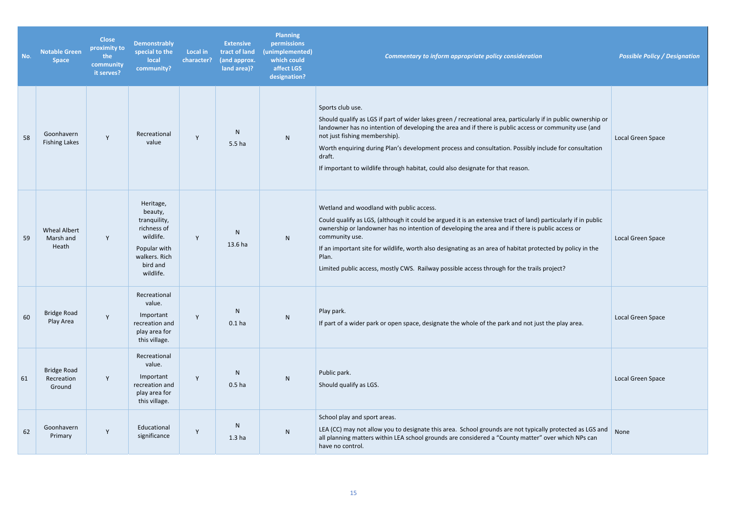| No. | <b>Notable Green</b><br><b>Space</b>       | <b>Close</b><br>proximity to<br>the<br>community<br>it serves? | <b>Demonstrably</b><br>special to the<br>local<br>community?                                                               | Local in<br>character? | <b>Extensive</b><br>tract of land<br>(and approx.<br>land area)? | <b>Planning</b><br>permissions<br>(unimplemented)<br>which could<br>affect LGS<br>designation? | Commentary to inform appropriate policy consideration                                                                                                                                                                                                                                                                                                                                                                                                                                                | <b>Possible Policy / Designation</b> |
|-----|--------------------------------------------|----------------------------------------------------------------|----------------------------------------------------------------------------------------------------------------------------|------------------------|------------------------------------------------------------------|------------------------------------------------------------------------------------------------|------------------------------------------------------------------------------------------------------------------------------------------------------------------------------------------------------------------------------------------------------------------------------------------------------------------------------------------------------------------------------------------------------------------------------------------------------------------------------------------------------|--------------------------------------|
| 58  | Goonhavern<br><b>Fishing Lakes</b>         | Y                                                              | Recreational<br>value                                                                                                      | Y                      | N.<br>5.5 <sub>ha</sub>                                          | N                                                                                              | Sports club use.<br>Should qualify as LGS if part of wider lakes green / recreational area, particularly if in public ownership or<br>landowner has no intention of developing the area and if there is public access or community use (and<br>not just fishing membership).<br>Worth enquiring during Plan's development process and consultation. Possibly include for consultation<br>draft.<br>If important to wildlife through habitat, could also designate for that reason.                   | Local Green Space                    |
| 59  | <b>Wheal Albert</b><br>Marsh and<br>Heath  | Y                                                              | Heritage,<br>beauty,<br>tranquility,<br>richness of<br>wildlife.<br>Popular with<br>walkers. Rich<br>bird and<br>wildlife. | Y                      | N<br>13.6 ha                                                     | N                                                                                              | Wetland and woodland with public access.<br>Could qualify as LGS, (although it could be argued it is an extensive tract of land) particularly if in public<br>ownership or landowner has no intention of developing the area and if there is public access or<br>community use.<br>If an important site for wildlife, worth also designating as an area of habitat protected by policy in the<br>Plan.<br>Limited public access, mostly CWS. Railway possible access through for the trails project? | Local Green Space                    |
| 60  | <b>Bridge Road</b><br>Play Area            | Y                                                              | Recreational<br>value.<br>Important<br>recreation and<br>play area for<br>this village.                                    | Y                      | N<br>0.1 <sub>ha</sub>                                           | ${\sf N}$                                                                                      | Play park.<br>If part of a wider park or open space, designate the whole of the park and not just the play area.                                                                                                                                                                                                                                                                                                                                                                                     | Local Green Space                    |
| 61  | <b>Bridge Road</b><br>Recreation<br>Ground | Y                                                              | Recreational<br>value.<br>Important<br>recreation and<br>play area for<br>this village.                                    | Y                      | N<br>0.5 <sub>ha</sub>                                           | N                                                                                              | Public park.<br>Should qualify as LGS.                                                                                                                                                                                                                                                                                                                                                                                                                                                               | Local Green Space                    |
| 62  | Goonhavern<br>Primary                      | Y                                                              | Educational<br>significance                                                                                                | Y                      | N<br>1.3 <sub>ha</sub>                                           | ${\sf N}$                                                                                      | School play and sport areas.<br>LEA (CC) may not allow you to designate this area. School grounds are not typically protected as LGS and<br>all planning matters within LEA school grounds are considered a "County matter" over which NPs can<br>have no control.                                                                                                                                                                                                                                   | None                                 |